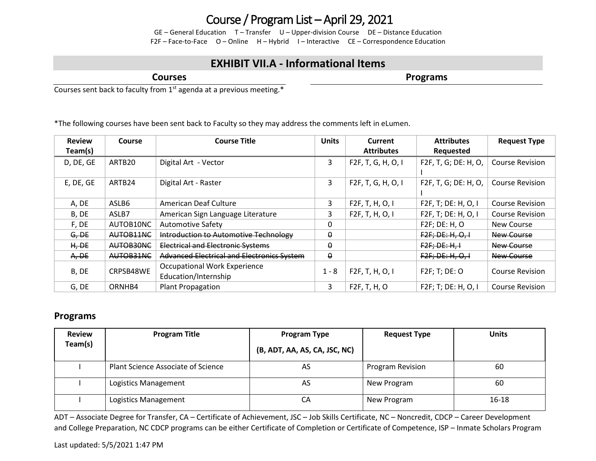## Course / Program List – April 29, 2021

GE – General Education T – Transfer U – Upper-division Course DE – Distance Education F2F – Face-to-Face O – Online H – Hybrid I – Interactive CE – Correspondence Education

## **EXHIBIT VII.A - Informational Items**

**Courses**

**Programs**

Courses sent back to faculty from 1<sup>st</sup> agenda at a previous meeting.\*

\*The following courses have been sent back to Faculty so they may address the comments left in eLumen.

| <b>Review</b> | <b>Course</b> | <b>Course Title</b>                               | <b>Units</b> | Current                      | <b>Attributes</b>    | <b>Request Type</b>    |
|---------------|---------------|---------------------------------------------------|--------------|------------------------------|----------------------|------------------------|
| Team(s)       |               |                                                   |              | <b>Attributes</b>            | Requested            |                        |
| D, DE, GE     | ARTB20        | Digital Art - Vector                              | 3            | F2F, T, G, H, O, I           | F2F, T, G; DE: H, O, | <b>Course Revision</b> |
|               |               |                                                   |              |                              |                      |                        |
| E, DE, GE     | ARTB24        | Digital Art - Raster                              | 3            | F2F, T, G, H, O, I           | F2F, T, G; DE: H, O, | <b>Course Revision</b> |
|               |               |                                                   |              |                              |                      |                        |
| A, DE         | ASLB6         | American Deaf Culture                             | 3            | F <sub>2</sub> F, T, H, O, I | F2F, T; DE: H, O, I  | <b>Course Revision</b> |
| B, DE         | ASLB7         | American Sign Language Literature                 | 3            | F <sub>2</sub> F, T, H, O, I | F2F, T; DE: H, O, I  | <b>Course Revision</b> |
| F, DE         | AUTOB10NC     | <b>Automotive Safety</b>                          | $\Omega$     |                              | F2F; DE: H, O        | <b>New Course</b>      |
| G, DE         | AUTOB11NC     | Introduction to Automotive Technology             | $\theta$     |                              | F2F; DE; H, O, I     | New Course             |
| H,DE          | AUTOB30NC     | <b>Electrical and Electronic Systems</b>          | $\theta$     |                              | F2F; DE; H, H        | <b>New Course</b>      |
| A,DE          | AUTOB31NC     | <b>Advanced Electrical and Electronics System</b> | $\theta$     |                              | F2F; DE; H, O, I     | New Course             |
| B, DE         | CRPSB48WE     | <b>Occupational Work Experience</b>               | $1 - 8$      | F <sub>2</sub> F, T, H, O, I | F2F; T; DE: O        | Course Revision        |
|               |               | Education/Internship                              |              |                              |                      |                        |
| G, DE         | ORNHB4        | Plant Propagation                                 | 3            | F <sub>2</sub> F, T, H, O    | F2F; T; DE: H, O, I  | <b>Course Revision</b> |

## **Programs**

| <b>Review</b> | <b>Program Title</b>               | <b>Program Type</b>           | <b>Request Type</b> | <b>Units</b> |
|---------------|------------------------------------|-------------------------------|---------------------|--------------|
| Team(s)       |                                    | (B, ADT, AA, AS, CA, JSC, NC) |                     |              |
|               | Plant Science Associate of Science | AS                            | Program Revision    | 60           |
|               | Logistics Management               | AS                            | New Program         | 60           |
|               | Logistics Management               | СA                            | New Program         | 16-18        |

ADT – Associate Degree for Transfer, CA – Certificate of Achievement, JSC – Job Skills Certificate, NC – Noncredit, CDCP – Career Development and College Preparation, NC CDCP programs can be either Certificate of Completion or Certificate of Competence, ISP – Inmate Scholars Program